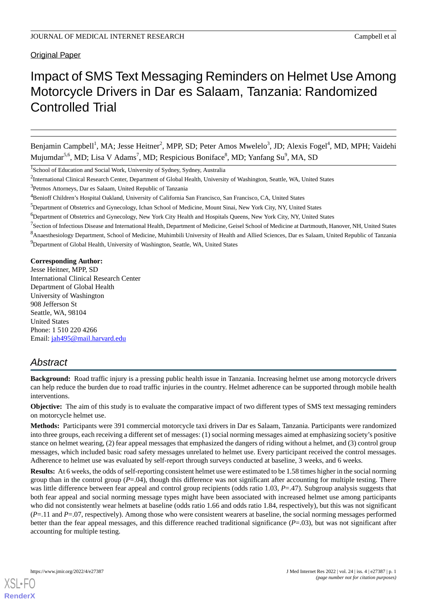Original Paper

# Impact of SMS Text Messaging Reminders on Helmet Use Among Motorcycle Drivers in Dar es Salaam, Tanzania: Randomized Controlled Trial

Benjamin Campbell<sup>1</sup>, MA; Jesse Heitner<sup>2</sup>, MPP, SD; Peter Amos Mwelelo<sup>3</sup>, JD; Alexis Fogel<sup>4</sup>, MD, MPH; Vaidehi Mujumdar<sup>5,6</sup>, MD; Lisa V Adams<sup>7</sup>, MD; Respicious Boniface<sup>8</sup>, MD; Yanfang Su<sup>9</sup>, MA, SD

<sup>7</sup>Section of Infectious Disease and International Health, Department of Medicine, Geisel School of Medicine at Dartmouth, Hanover, NH, United States

<sup>8</sup>Anaesthesiology Department, School of Medicine, Muhimbili University of Health and Allied Sciences, Dar es Salaam, United Republic of Tanzania <sup>9</sup>Department of Global Health, University of Washington, Seattle, WA, United States

#### **Corresponding Author:**

Jesse Heitner, MPP, SD International Clinical Research Center Department of Global Health University of Washington 908 Jefferson St Seattle, WA, 98104 United States Phone: 1 510 220 4266 Email: [jah495@mail.harvard.edu](mailto:jah495@mail.harvard.edu)

## *Abstract*

**Background:** Road traffic injury is a pressing public health issue in Tanzania. Increasing helmet use among motorcycle drivers can help reduce the burden due to road traffic injuries in the country. Helmet adherence can be supported through mobile health interventions.

**Objective:** The aim of this study is to evaluate the comparative impact of two different types of SMS text messaging reminders on motorcycle helmet use.

**Methods:** Participants were 391 commercial motorcycle taxi drivers in Dar es Salaam, Tanzania. Participants were randomized into three groups, each receiving a different set of messages: (1) social norming messages aimed at emphasizing society's positive stance on helmet wearing, (2) fear appeal messages that emphasized the dangers of riding without a helmet, and (3) control group messages, which included basic road safety messages unrelated to helmet use. Every participant received the control messages. Adherence to helmet use was evaluated by self-report through surveys conducted at baseline, 3 weeks, and 6 weeks.

**Results:** At 6 weeks, the odds of self-reporting consistent helmet use were estimated to be 1.58 times higher in the social norming group than in the control group  $(P=0.04)$ , though this difference was not significant after accounting for multiple testing. There was little difference between fear appeal and control group recipients (odds ratio 1.03, *P*=.47). Subgroup analysis suggests that both fear appeal and social norming message types might have been associated with increased helmet use among participants who did not consistently wear helmets at baseline (odds ratio 1.66 and odds ratio 1.84, respectively), but this was not significant (*P*=.11 and *P*=.07, respectively). Among those who were consistent wearers at baseline, the social norming messages performed better than the fear appeal messages, and this difference reached traditional significance  $(P=.03)$ , but was not significant after accounting for multiple testing.

[XSL](http://www.w3.org/Style/XSL)•FO **[RenderX](http://www.renderx.com/)**

<sup>&</sup>lt;sup>1</sup>School of Education and Social Work, University of Sydney, Sydney, Australia

<sup>&</sup>lt;sup>2</sup>International Clinical Research Center, Department of Global Health, University of Washington, Seattle, WA, United States

<sup>&</sup>lt;sup>3</sup>Petmos Attorneys, Dar es Salaam, United Republic of Tanzania

<sup>4</sup>Benioff Children's Hospital Oakland, University of California San Francisco, San Francisco, CA, United States

<sup>&</sup>lt;sup>5</sup>Department of Obstetrics and Gynecology, Ichan School of Medicine, Mount Sinai, New York City, NY, United States

<sup>6</sup>Department of Obstetrics and Gynecology, New York City Health and Hospitals Queens, New York City, NY, United States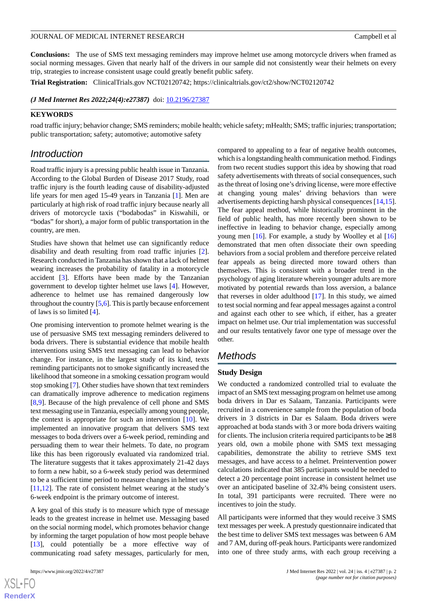**Conclusions:** The use of SMS text messaging reminders may improve helmet use among motorcycle drivers when framed as social norming messages. Given that nearly half of the drivers in our sample did not consistently wear their helmets on every trip, strategies to increase consistent usage could greatly benefit public safety.

**Trial Registration:** ClinicalTrials.gov NCT02120742; https://clinicaltrials.gov/ct2/show/NCT02120742

*(J Med Internet Res 2022;24(4):e27387)* doi: [10.2196/27387](http://dx.doi.org/10.2196/27387)

#### **KEYWORDS**

road traffic injury; behavior change; SMS reminders; mobile health; vehicle safety; mHealth; SMS; traffic injuries; transportation; public transportation; safety; automotive; automotive safety

## *Introduction*

Road traffic injury is a pressing public health issue in Tanzania. According to the Global Burden of Disease 2017 Study, road traffic injury is the fourth leading cause of disability-adjusted life years for men aged 15-49 years in Tanzania [\[1](#page-8-0)]. Men are particularly at high risk of road traffic injury because nearly all drivers of motorcycle taxis ("bodabodas" in Kiswahili, or "bodas" for short), a major form of public transportation in the country, are men.

Studies have shown that helmet use can significantly reduce disability and death resulting from road traffic injuries [[2\]](#page-8-1). Research conducted in Tanzania has shown that a lack of helmet wearing increases the probability of fatality in a motorcycle accident [[3\]](#page-8-2). Efforts have been made by the Tanzanian government to develop tighter helmet use laws [[4](#page-8-3)]. However, adherence to helmet use has remained dangerously low throughout the country  $[5,6]$  $[5,6]$  $[5,6]$  $[5,6]$ . This is partly because enforcement of laws is so limited [[4\]](#page-8-3).

One promising intervention to promote helmet wearing is the use of persuasive SMS text messaging reminders delivered to boda drivers. There is substantial evidence that mobile health interventions using SMS text messaging can lead to behavior change. For instance, in the largest study of its kind, texts reminding participants not to smoke significantly increased the likelihood that someone in a smoking cessation program would stop smoking [\[7](#page-8-6)]. Other studies have shown that text reminders can dramatically improve adherence to medication regimens [[8](#page-8-7)[,9](#page-8-8)]. Because of the high prevalence of cell phone and SMS text messaging use in Tanzania, especially among young people, the context is appropriate for such an intervention [[10\]](#page-8-9). We implemented an innovative program that delivers SMS text messages to boda drivers over a 6-week period, reminding and persuading them to wear their helmets. To date, no program like this has been rigorously evaluated via randomized trial. The literature suggests that it takes approximately 21-42 days to form a new habit, so a 6-week study period was determined to be a sufficient time period to measure changes in helmet use [[11](#page-8-10)[,12](#page-8-11)]. The rate of consistent helmet wearing at the study's 6-week endpoint is the primary outcome of interest.

A key goal of this study is to measure which type of message leads to the greatest increase in helmet use. Messaging based on the social norming model, which promotes behavior change by informing the target population of how most people behave [[13\]](#page-8-12), could potentially be a more effective way of communicating road safety messages, particularly for men,

compared to appealing to a fear of negative health outcomes, which is a longstanding health communication method. Findings from two recent studies support this idea by showing that road safety advertisements with threats of social consequences, such as the threat of losing one's driving license, were more effective at changing young males' driving behaviors than were advertisements depicting harsh physical consequences [\[14](#page-8-13),[15\]](#page-8-14). The fear appeal method, while historically prominent in the field of public health, has more recently been shown to be ineffective in leading to behavior change, especially among young men [[16\]](#page-8-15). For example, a study by Woolley et al [\[16](#page-8-15)] demonstrated that men often dissociate their own speeding behaviors from a social problem and therefore perceive related fear appeals as being directed more toward others than themselves. This is consistent with a broader trend in the psychology of aging literature wherein younger adults are more motivated by potential rewards than loss aversion, a balance that reverses in older adulthood [[17\]](#page-8-16). In this study, we aimed to test social norming and fear appeal messages against a control and against each other to see which, if either, has a greater impact on helmet use. Our trial implementation was successful and our results tentatively favor one type of message over the other.

## *Methods*

### **Study Design**

We conducted a randomized controlled trial to evaluate the impact of an SMS text messaging program on helmet use among boda drivers in Dar es Salaam, Tanzania. Participants were recruited in a convenience sample from the population of boda drivers in 3 districts in Dar es Salaam. Boda drivers were approached at boda stands with 3 or more boda drivers waiting for clients. The inclusion criteria required participants to be  $\geq 18$ years old, own a mobile phone with SMS text messaging capabilities, demonstrate the ability to retrieve SMS text messages, and have access to a helmet. Preintervention power calculations indicated that 385 participants would be needed to detect a 20 percentage point increase in consistent helmet use over an anticipated baseline of 32.4% being consistent users. In total, 391 participants were recruited. There were no incentives to join the study.

All participants were informed that they would receive 3 SMS text messages per week. A prestudy questionnaire indicated that the best time to deliver SMS text messages was between 6 AM and 7 AM, during off-peak hours. Participants were randomized into one of three study arms, with each group receiving a

```
XS-FO
RenderX
```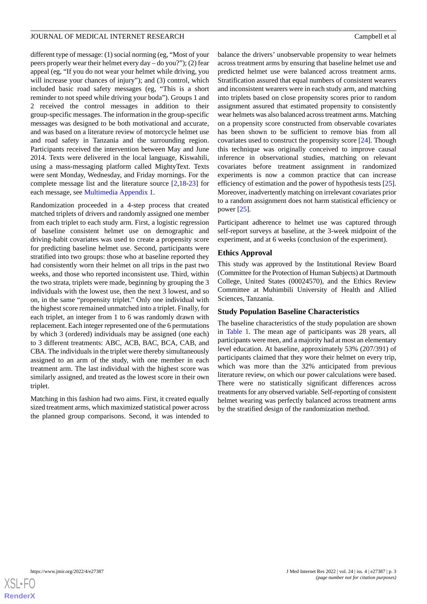different type of message: (1) social norming (eg, "Most of your peers properly wear their helmet every day – do you?"); (2) fear appeal (eg, "If you do not wear your helmet while driving, you will increase your chances of injury"); and (3) control, which included basic road safety messages (eg, "This is a short reminder to not speed while driving your boda"). Groups 1 and 2 received the control messages in addition to their group-specific messages. The information in the group-specific messages was designed to be both motivational and accurate, and was based on a literature review of motorcycle helmet use and road safety in Tanzania and the surrounding region. Participants received the intervention between May and June 2014. Texts were delivered in the local language, Kiswahili, using a mass-messaging platform called MightyText. Texts were sent Monday, Wednesday, and Friday mornings. For the complete message list and the literature source [\[2](#page-8-1),[18-](#page-9-0)[23](#page-9-1)] for each message, see [Multimedia Appendix 1.](#page-8-17)

Randomization proceeded in a 4-step process that created matched triplets of drivers and randomly assigned one member from each triplet to each study arm. First, a logistic regression of baseline consistent helmet use on demographic and driving-habit covariates was used to create a propensity score for predicting baseline helmet use. Second, participants were stratified into two groups: those who at baseline reported they had consistently worn their helmet on all trips in the past two weeks, and those who reported inconsistent use. Third, within the two strata, triplets were made, beginning by grouping the 3 individuals with the lowest use, then the next 3 lowest, and so on, in the same "propensity triplet." Only one individual with the highest score remained unmatched into a triplet. Finally, for each triplet, an integer from 1 to 6 was randomly drawn with replacement. Each integer represented one of the 6 permutations by which 3 (ordered) individuals may be assigned (one each) to 3 different treatments: ABC, ACB, BAC, BCA, CAB, and CBA. The individuals in the triplet were thereby simultaneously assigned to an arm of the study, with one member in each treatment arm. The last individual with the highest score was similarly assigned, and treated as the lowest score in their own triplet.

Matching in this fashion had two aims. First, it created equally sized treatment arms, which maximized statistical power across the planned group comparisons. Second, it was intended to

balance the drivers' unobservable propensity to wear helmets across treatment arms by ensuring that baseline helmet use and predicted helmet use were balanced across treatment arms. Stratification assured that equal numbers of consistent wearers and inconsistent wearers were in each study arm, and matching into triplets based on close propensity scores prior to random assignment assured that estimated propensity to consistently wear helmets was also balanced across treatment arms. Matching on a propensity score constructed from observable covariates has been shown to be sufficient to remove bias from all covariates used to construct the propensity score [\[24](#page-9-2)]. Though this technique was originally conceived to improve causal inference in observational studies, matching on relevant covariates before treatment assignment in randomized experiments is now a common practice that can increase efficiency of estimation and the power of hypothesis tests [[25\]](#page-9-3). Moreover, inadvertently matching on irrelevant covariates prior to a random assignment does not harm statistical efficiency or power [\[25](#page-9-3)].

Participant adherence to helmet use was captured through self-report surveys at baseline, at the 3-week midpoint of the experiment, and at 6 weeks (conclusion of the experiment).

#### **Ethics Approval**

This study was approved by the Institutional Review Board (Committee for the Protection of Human Subjects) at Dartmouth College, United States (00024570), and the Ethics Review Committee at Muhimbili University of Health and Allied Sciences, Tanzania.

#### **Study Population Baseline Characteristics**

The baseline characteristics of the study population are shown in [Table 1.](#page-3-0) The mean age of participants was 28 years, all participants were men, and a majority had at most an elementary level education. At baseline, approximately 53% (207/391) of participants claimed that they wore their helmet on every trip, which was more than the 32% anticipated from previous literature review, on which our power calculations were based. There were no statistically significant differences across treatments for any observed variable. Self-reporting of consistent helmet wearing was perfectly balanced across treatment arms by the stratified design of the randomization method.

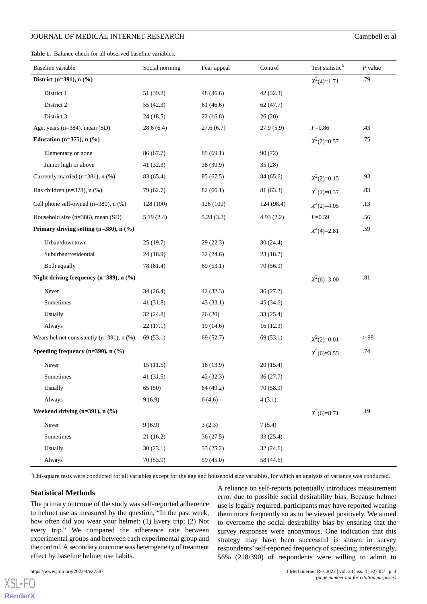#### JOURNAL OF MEDICAL INTERNET RESEARCH Campbell et al

<span id="page-3-0"></span>**Table 1.** Balance check for all observed baseline variables.

| Baseline variable                              | Social norming | Fear appeal | Control    | Test statistic <sup>a</sup> | $P$ value |
|------------------------------------------------|----------------|-------------|------------|-----------------------------|-----------|
| District (n=391), n (%)                        |                |             |            | $X^2(4)=1.71$               | .79       |
| District 1                                     | 51 (39.2)      | 48(36.6)    | 42(32.3)   |                             |           |
| District 2                                     | 55(42.3)       | 61(46.6)    | 62(47.7)   |                             |           |
| District 3                                     | 24(18.5)       | 22(16.8)    | 26(20)     |                             |           |
| Age, years (n=384), mean (SD)                  | 28.6(6.4)      | 27.6(6.7)   | 27.9(5.9)  | $F = 0.86$                  | .43       |
| Education ( $n=375$ ), $n$ (%)                 |                |             |            | $X^2(2)=0.57$               | .75       |
| Elementary or none                             | 86 (67.7)      | 85(69.1)    | 90(72)     |                             |           |
| Junior high or above                           | 41(32.3)       | 38 (30.9)   | 35(28)     |                             |           |
| Currently married ( $n=381$ ), $n$ (%)         | 83 (65.4)      | 85 (67.5)   | 84 (65.6)  | $X^2(2)=0.15$               | .93       |
| Has children ( $n=378$ ), $n$ (%)              | 79 (62.7)      | 82(66.1)    | 81(63.3)   | $X^2(2)=0.37$               | .83       |
| Cell phone self-owned $(n=380)$ , n $(\%)$     | 128 (100)      | 126 (100)   | 124 (98.4) | $X^2(2)=4.05$               | .13       |
| Household size (n=386), mean (SD)              | 5.19(2.4)      | 5.28(3.2)   | 4.93(2.2)  | $F = 0.59$                  | .56       |
| Primary driving setting $(n=380)$ , n $(\%)$   |                |             |            | $X^2(4)=2.81$               | .59       |
| Urban/downtown                                 | 25(19.7)       | 29(22.3)    | 30(24.4)   |                             |           |
| Suburban/residential                           | 24(18.9)       | 32(24.6)    | 23(18.7)   |                             |           |
| Both equally                                   | 78 (61.4)      | 69(53.1)    | 70(56.9)   |                             |           |
| Night driving frequency $(n=389)$ , n $(\%)$   |                |             |            | $X^2(6)=3.00$               | .81       |
| Never                                          | 34(26.4)       | 42 (32.3)   | 36(27.7)   |                             |           |
| Sometimes                                      | 41(31.8)       | 43(33.1)    | 45(34.6)   |                             |           |
| Usually                                        | 32(24.8)       | 26(20)      | 33(25.4)   |                             |           |
| Always                                         | 22(17.1)       | 19(14.6)    | 16(12.3)   |                             |           |
| Wears helmet consistently $(n=391)$ , n $(\%)$ | 69 (53.1)      | 69 (52.7)   | 69 (53.1)  | $X^2(2)=0.01$               | >99       |
| Speeding frequency $(n=390)$ , n $(\% )$       |                |             |            | $X^2(6)=3.55$               | .74       |
| Never                                          | 15(11.5)       | 18 (13.9)   | 20(15.4)   |                             |           |
| Sometimes                                      | 41(31.5)       | 42 (32.3)   | 36(27.7)   |                             |           |
| Usually                                        | 65 (50)        | 64 (49.2)   | 70 (58.9)  |                             |           |
| Always                                         | 9(6.9)         | 6(4.6)      | 4(3.1)     |                             |           |
| Weekend driving $(n=391)$ , n $(\%)$           |                |             |            | $X^2(6)=8.71$               | .19       |
| Never                                          | 9(6.9)         | 3(2.3)      | 7(5.4)     |                             |           |
| Sometimes                                      | 21(16.2)       | 36(27.5)    | 33(25.4)   |                             |           |
| Usually                                        | 30(23.1)       | 33(25.2)    | 32(24.6)   |                             |           |
| Always                                         | 70(53.9)       | 59 (45.0)   | 58 (44.6)  |                             |           |

<sup>a</sup>Chi-square tests were conducted for all variables except for the age and household size variables, for which an analysis of variance was conducted.

#### **Statistical Methods**

The primary outcome of the study was self-reported adherence to helmet use as measured by the question, "In the past week, how often did you wear your helmet: (1) Every trip; (2) Not every trip." We compared the adherence rate between experimental groups and between each experimental group and the control. A secondary outcome was heterogeneity of treatment effect by baseline helmet use habits.

 $XS$  • FC **[RenderX](http://www.renderx.com/)**

A reliance on self-reports potentially introduces measurement error due to possible social desirability bias. Because helmet use is legally required, participants may have reported wearing them more frequently so as to be viewed positively. We aimed to overcome the social desirability bias by ensuring that the survey responses were anonymous. One indication that this strategy may have been successful is shown in survey respondents'self-reported frequency of speeding; interestingly, 56% (218/390) of respondents were willing to admit to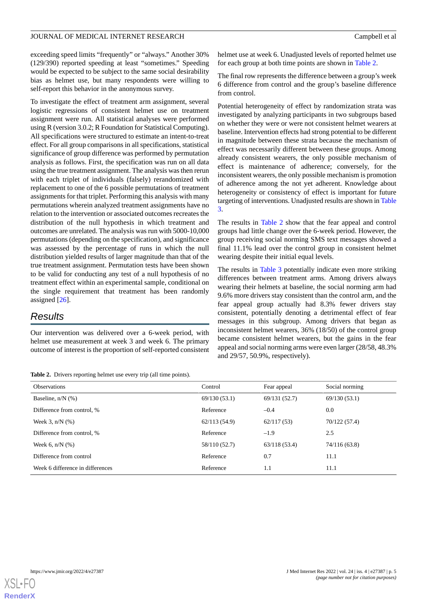exceeding speed limits "frequently" or "always." Another 30% (129/390) reported speeding at least "sometimes." Speeding would be expected to be subject to the same social desirability bias as helmet use, but many respondents were willing to self-report this behavior in the anonymous survey.

To investigate the effect of treatment arm assignment, several logistic regressions of consistent helmet use on treatment assignment were run. All statistical analyses were performed using R (version 3.0.2; R Foundation for Statistical Computing). All specifications were structured to estimate an intent-to-treat effect. For all group comparisons in all specifications, statistical significance of group difference was performed by permutation analysis as follows. First, the specification was run on all data using the true treatment assignment. The analysis was then rerun with each triplet of individuals (falsely) rerandomized with replacement to one of the 6 possible permutations of treatment assignments for that triplet. Performing this analysis with many permutations wherein analyzed treatment assignments have no relation to the intervention or associated outcomes recreates the distribution of the null hypothesis in which treatment and outcomes are unrelated. The analysis was run with 5000-10,000 permutations (depending on the specification), and significance was assessed by the percentage of runs in which the null distribution yielded results of larger magnitude than that of the true treatment assignment. Permutation tests have been shown to be valid for conducting any test of a null hypothesis of no treatment effect within an experimental sample, conditional on the single requirement that treatment has been randomly assigned [[26\]](#page-9-4).

## *Results*

<span id="page-4-0"></span>Our intervention was delivered over a 6-week period, with helmet use measurement at week 3 and week 6. The primary outcome of interest is the proportion of self-reported consistent

**Table 2.** Drivers reporting helmet use every trip (all time points).

helmet use at week 6. Unadjusted levels of reported helmet use for each group at both time points are shown in [Table 2](#page-4-0).

The final row represents the difference between a group's week 6 difference from control and the group's baseline difference from control.

Potential heterogeneity of effect by randomization strata was investigated by analyzing participants in two subgroups based on whether they were or were not consistent helmet wearers at baseline. Intervention effects had strong potential to be different in magnitude between these strata because the mechanism of effect was necessarily different between these groups. Among already consistent wearers, the only possible mechanism of effect is maintenance of adherence; conversely, for the inconsistent wearers, the only possible mechanism is promotion of adherence among the not yet adherent. Knowledge about heterogeneity or consistency of effect is important for future targeting of interventions. Unadjusted results are shown in [Table](#page-5-0) [3.](#page-5-0)

The results in [Table 2](#page-4-0) show that the fear appeal and control groups had little change over the 6-week period. However, the group receiving social norming SMS text messages showed a final 11.1% lead over the control group in consistent helmet wearing despite their initial equal levels.

The results in [Table 3](#page-5-0) potentially indicate even more striking differences between treatment arms. Among drivers always wearing their helmets at baseline, the social norming arm had 9.6% more drivers stay consistent than the control arm, and the fear appeal group actually had 8.3% fewer drivers stay consistent, potentially denoting a detrimental effect of fear messages in this subgroup. Among drivers that began as inconsistent helmet wearers, 36% (18/50) of the control group became consistent helmet wearers, but the gains in the fear appeal and social norming arms were even larger (28/58, 48.3% and 29/57, 50.9%, respectively).

| <b>Observations</b>              | Control       | Fear appeal   | Social norming |
|----------------------------------|---------------|---------------|----------------|
| Baseline, $n/N$ (%)              | 69/130(53.1)  | 69/131 (52.7) | 69/130 (53.1)  |
| Difference from control, %       | Reference     | $-0.4$        | 0.0            |
| Week 3, $n/N$ $(\%)$             | 62/113(54.9)  | 62/117(53)    | 70/122 (57.4)  |
| Difference from control, %       | Reference     | $-1.9$        | 2.5            |
| Week 6, $n/N$ (%)                | 58/110 (52.7) | 63/118(53.4)  | 74/116 (63.8)  |
| Difference from control          | Reference     | 0.7           | 11.1           |
| Week 6 difference in differences | Reference     | 1.1           | 11.1           |

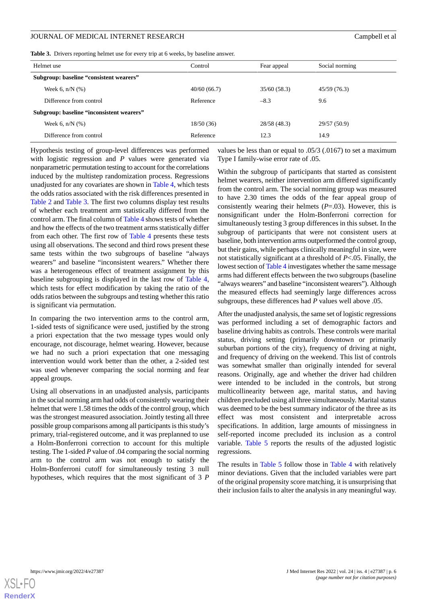<span id="page-5-0"></span>**Table 3.** Drivers reporting helmet use for every trip at 6 weeks, by baseline answer.

| Helmet use                                | Control     | Fear appeal  | Social norming |
|-------------------------------------------|-------------|--------------|----------------|
| Subgroup: baseline "consistent wearers"   |             |              |                |
| Week 6, $n/N$ $(\%)$                      | 40/60(66.7) | 35/60(58.3)  | 45/59(76.3)    |
| Difference from control                   | Reference   | $-8.3$       | 9.6            |
| Subgroup: baseline "inconsistent wearers" |             |              |                |
| Week 6, $n/N$ $(\%)$                      | 18/50(36)   | 28/58 (48.3) | 29/57 (50.9)   |
| Difference from control                   | Reference   | 12.3         | 14.9           |

Hypothesis testing of group-level differences was performed with logistic regression and *P* values were generated via nonparametric permutation testing to account for the correlations induced by the multistep randomization process. Regressions unadjusted for any covariates are shown in [Table 4](#page-6-0), which tests the odds ratios associated with the risk differences presented in [Table 2](#page-4-0) and [Table 3.](#page-5-0) The first two columns display test results of whether each treatment arm statistically differed from the control arm. The final column of [Table 4](#page-6-0) shows tests of whether and how the effects of the two treatment arms statistically differ from each other. The first row of [Table 4](#page-6-0) presents these tests using all observations. The second and third rows present these same tests within the two subgroups of baseline "always wearers" and baseline "inconsistent wearers." Whether there was a heterogeneous effect of treatment assignment by this baseline subgrouping is displayed in the last row of [Table 4](#page-6-0), which tests for effect modification by taking the ratio of the odds ratios between the subgroups and testing whether this ratio is significant via permutation.

In comparing the two intervention arms to the control arm, 1-sided tests of significance were used, justified by the strong a priori expectation that the two message types would only encourage, not discourage, helmet wearing. However, because we had no such a priori expectation that one messaging intervention would work better than the other, a 2-sided test was used whenever comparing the social norming and fear appeal groups.

Using all observations in an unadjusted analysis, participants in the social norming arm had odds of consistently wearing their helmet that were 1.58 times the odds of the control group, which was the strongest measured association. Jointly testing all three possible group comparisons among all participants is this study's primary, trial-registered outcome, and it was preplanned to use a Holm-Bonferroni correction to account for this multiple testing. The 1-sided *P* value of .04 comparing the social norming arm to the control arm was not enough to satisfy the Holm-Bonferroni cutoff for simultaneously testing 3 null hypotheses, which requires that the most significant of 3 *P* values be less than or equal to .05/3 (.0167) to set a maximum Type I family-wise error rate of .05.

Within the subgroup of participants that started as consistent helmet wearers, neither intervention arm differed significantly from the control arm. The social norming group was measured to have 2.30 times the odds of the fear appeal group of consistently wearing their helmets (*P*=.03). However, this is nonsignificant under the Holm-Bonferroni correction for simultaneously testing 3 group differences in this subset. In the subgroup of participants that were not consistent users at baseline, both intervention arms outperformed the control group, but their gains, while perhaps clinically meaningful in size, were not statistically significant at a threshold of *P*<.05. Finally, the lowest section of [Table 4](#page-6-0) investigates whether the same message arms had different effects between the two subgroups (baseline "always wearers" and baseline "inconsistent wearers"). Although the measured effects had seemingly large differences across subgroups, these differences had *P* values well above .05.

After the unadjusted analysis, the same set of logistic regressions was performed including a set of demographic factors and baseline driving habits as controls. These controls were marital status, driving setting (primarily downtown or primarily suburban portions of the city), frequency of driving at night, and frequency of driving on the weekend. This list of controls was somewhat smaller than originally intended for several reasons. Originally, age and whether the driver had children were intended to be included in the controls, but strong multicollinearity between age, marital status, and having children precluded using all three simultaneously. Marital status was deemed to be the best summary indicator of the three as its effect was most consistent and interpretable across specifications. In addition, large amounts of missingness in self-reported income precluded its inclusion as a control variable. [Table 5](#page-6-1) reports the results of the adjusted logistic regressions.

The results in [Table 5](#page-6-1) follow those in [Table 4](#page-6-0) with relatively minor deviations. Given that the included variables were part of the original propensity score matching, it is unsurprising that their inclusion fails to alter the analysis in any meaningful way.

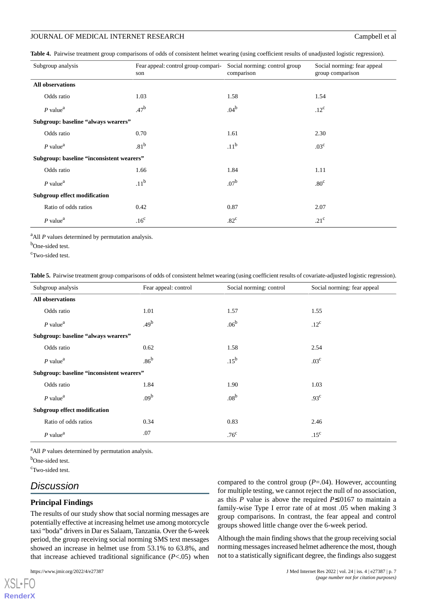#### JOURNAL OF MEDICAL INTERNET RESEARCH Campbell et al.

<span id="page-6-0"></span>**Table 4.** Pairwise treatment group comparisons of odds of consistent helmet wearing (using coefficient results of unadjusted logistic regression).

| Subgroup analysis                         | Fear appeal: control group compari-<br>son | Social norming: control group<br>comparison | Social norming: fear appeal<br>group comparison |
|-------------------------------------------|--------------------------------------------|---------------------------------------------|-------------------------------------------------|
| All observations                          |                                            |                                             |                                                 |
| Odds ratio                                | 1.03                                       | 1.58                                        | 1.54                                            |
| $P$ value <sup>a</sup>                    | .47 <sup>b</sup>                           | .04 <sup>b</sup>                            | $.12^{\circ}$                                   |
| Subgroup: baseline "always wearers"       |                                            |                                             |                                                 |
| Odds ratio                                | 0.70                                       | 1.61                                        | 2.30                                            |
| $P$ value <sup>a</sup>                    | .81 <sup>b</sup>                           | .11 <sup>b</sup>                            | .03 <sup>c</sup>                                |
| Subgroup: baseline "inconsistent wearers" |                                            |                                             |                                                 |
| Odds ratio                                | 1.66                                       | 1.84                                        | 1.11                                            |
| $P$ value <sup>a</sup>                    | .11 <sup>b</sup>                           | .07 <sup>b</sup>                            | .80 <sup>c</sup>                                |
| <b>Subgroup effect modification</b>       |                                            |                                             |                                                 |
| Ratio of odds ratios                      | 0.42                                       | 0.87                                        | 2.07                                            |
| $P$ value <sup><math>a</math></sup>       | .16 <sup>c</sup>                           | $.82^{\circ}$                               | .21 <sup>c</sup>                                |

<sup>a</sup>All *P* values determined by permutation analysis.

<span id="page-6-1"></span>b<sub>One-sided test.</sub>

<sup>c</sup>Two-sided test.

**Table 5.** Pairwise treatment group comparisons of odds of consistent helmet wearing (using coefficient results of covariate-adjusted logistic regression).

| Subgroup analysis                         | Fear appeal: control | Social norming: control | Social norming: fear appeal |
|-------------------------------------------|----------------------|-------------------------|-----------------------------|
| <b>All observations</b>                   |                      |                         |                             |
| Odds ratio                                | 1.01                 | 1.57                    | 1.55                        |
| $P$ value <sup><math>a</math></sup>       | .49 <sup>b</sup>     | .06 <sup>b</sup>        | $.12^{\circ}$               |
| Subgroup: baseline "always wearers"       |                      |                         |                             |
| Odds ratio                                | 0.62                 | 1.58                    | 2.54                        |
| $P$ value <sup><math>a</math></sup>       | $.86^{\rm b}$        | $.15^{\rm b}$           | .03 <sup>c</sup>            |
| Subgroup: baseline "inconsistent wearers" |                      |                         |                             |
| Odds ratio                                | 1.84                 | 1.90                    | 1.03                        |
| $P$ value <sup>a</sup>                    | .09 <sup>b</sup>     | .08 <sup>b</sup>        | .93 <sup>c</sup>            |
| <b>Subgroup effect modification</b>       |                      |                         |                             |
| Ratio of odds ratios                      | 0.34                 | 0.83                    | 2.46                        |
| $P$ value <sup><math>a</math></sup>       | .07                  | .76 <sup>c</sup>        | .15 <sup>c</sup>            |

<sup>a</sup>All *P* values determined by permutation analysis.

b<sub>One-sided test.</sub>

<sup>c</sup>Two-sided test.

## *Discussion*

#### **Principal Findings**

The results of our study show that social norming messages are potentially effective at increasing helmet use among motorcycle taxi "boda" drivers in Dar es Salaam, Tanzania. Over the 6-week period, the group receiving social norming SMS text messages showed an increase in helmet use from 53.1% to 63.8%, and that increase achieved traditional significance (*P*<.05) when

[XSL](http://www.w3.org/Style/XSL)•FO **[RenderX](http://www.renderx.com/)** compared to the control group (*P*=.04). However, accounting for multiple testing, we cannot reject the null of no association, as this *P* value is above the required *P*≤.0167 to maintain a family-wise Type I error rate of at most .05 when making 3 group comparisons. In contrast, the fear appeal and control groups showed little change over the 6-week period.

Although the main finding shows that the group receiving social norming messages increased helmet adherence the most, though not to a statistically significant degree, the findings also suggest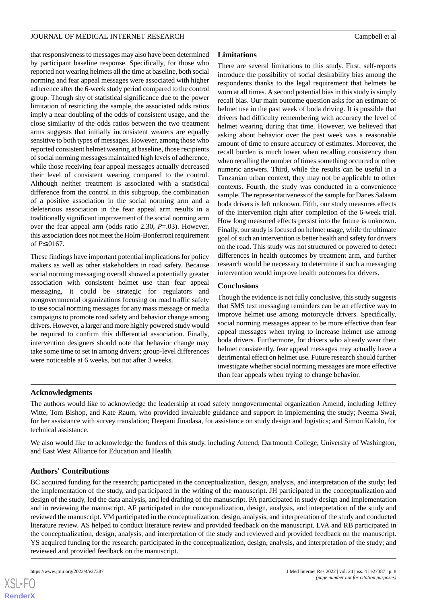that responsiveness to messages may also have been determined by participant baseline response. Specifically, for those who reported not wearing helmets all the time at baseline, both social norming and fear appeal messages were associated with higher adherence after the 6-week study period compared to the control group. Though shy of statistical significance due to the power limitation of restricting the sample, the associated odds ratios imply a near doubling of the odds of consistent usage, and the close similarity of the odds ratios between the two treatment arms suggests that initially inconsistent wearers are equally sensitive to both types of messages. However, among those who reported consistent helmet wearing at baseline, those recipients of social norming messages maintained high levels of adherence, while those receiving fear appeal messages actually decreased their level of consistent wearing compared to the control. Although neither treatment is associated with a statistical difference from the control in this subgroup, the combination of a positive association in the social norming arm and a deleterious association in the fear appeal arm results in a traditionally significant improvement of the social norming arm over the fear appeal arm (odds ratio 2.30, *P*=.03). However, this association does not meet the Holm-Bonferroni requirement of *P*≤.0167.

These findings have important potential implications for policy makers as well as other stakeholders in road safety. Because social norming messaging overall showed a potentially greater association with consistent helmet use than fear appeal messaging, it could be strategic for regulators and nongovernmental organizations focusing on road traffic safety to use social norming messages for any mass message or media campaigns to promote road safety and behavior change among drivers. However, a larger and more highly powered study would be required to confirm this differential association. Finally, intervention designers should note that behavior change may take some time to set in among drivers; group-level differences were noticeable at 6 weeks, but not after 3 weeks.

### **Limitations**

There are several limitations to this study. First, self-reports introduce the possibility of social desirability bias among the respondents thanks to the legal requirement that helmets be worn at all times. A second potential bias in this study is simply recall bias. Our main outcome question asks for an estimate of helmet use in the past week of boda driving. It is possible that drivers had difficulty remembering with accuracy the level of helmet wearing during that time. However, we believed that asking about behavior over the past week was a reasonable amount of time to ensure accuracy of estimates. Moreover, the recall burden is much lower when recalling consistency than when recalling the number of times something occurred or other numeric answers. Third, while the results can be useful in a Tanzanian urban context, they may not be applicable to other contexts. Fourth, the study was conducted in a convenience sample. The representativeness of the sample for Dar es Salaam boda drivers is left unknown. Fifth, our study measures effects of the intervention right after completion of the 6-week trial. How long measured effects persist into the future is unknown. Finally, our study is focused on helmet usage, while the ultimate goal of such an intervention is better health and safety for drivers on the road. This study was not structured or powered to detect differences in health outcomes by treatment arm, and further research would be necessary to determine if such a messaging intervention would improve health outcomes for drivers.

### **Conclusions**

Though the evidence is not fully conclusive, this study suggests that SMS text messaging reminders can be an effective way to improve helmet use among motorcycle drivers. Specifically, social norming messages appear to be more effective than fear appeal messages when trying to increase helmet use among boda drivers. Furthermore, for drivers who already wear their helmet consistently, fear appeal messages may actually have a detrimental effect on helmet use. Future research should further investigate whether social norming messages are more effective than fear appeals when trying to change behavior.

### **Acknowledgments**

The authors would like to acknowledge the leadership at road safety nongovernmental organization Amend, including Jeffrey Witte, Tom Bishop, and Kate Raum, who provided invaluable guidance and support in implementing the study; Neema Swai, for her assistance with survey translation; Deepani Jinadasa, for assistance on study design and logistics; and Simon Kalolo, for technical assistance.

We also would like to acknowledge the funders of this study, including Amend, Dartmouth College, University of Washington, and East West Alliance for Education and Health.

## **Authors' Contributions**

BC acquired funding for the research; participated in the conceptualization, design, analysis, and interpretation of the study; led the implementation of the study, and participated in the writing of the manuscript. JH participated in the conceptualization and design of the study, led the data analysis, and led drafting of the manuscript. PA participated in study design and implementation and in reviewing the manuscript. AF participated in the conceptualization, design, analysis, and interpretation of the study and reviewed the manuscript. VM participated in the conceptualization, design, analysis, and interpretation of the study and conducted literature review. AS helped to conduct literature review and provided feedback on the manuscript. LVA and RB participated in the conceptualization, design, analysis, and interpretation of the study and reviewed and provided feedback on the manuscript. YS acquired funding for the research; participated in the conceptualization, design, analysis, and interpretation of the study; and reviewed and provided feedback on the manuscript.

 $XS$ -FO **[RenderX](http://www.renderx.com/)**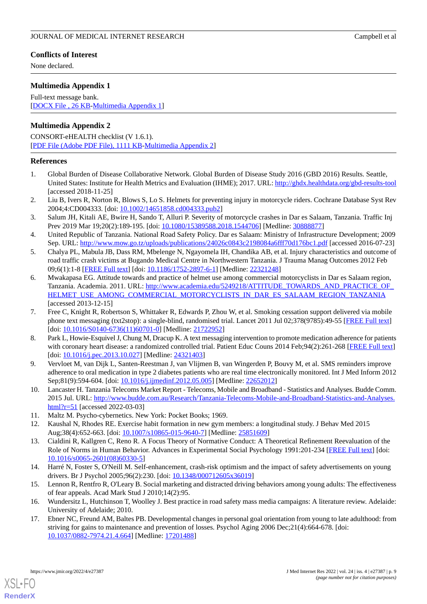None declared.

## <span id="page-8-17"></span>**Multimedia Appendix 1**

Full-text message bank. [[DOCX File , 26 KB](https://jmir.org/api/download?alt_name=jmir_v24i4e27387_app1.docx&filename=38613f4779013c14f81474d30915509b.docx)-[Multimedia Appendix 1\]](https://jmir.org/api/download?alt_name=jmir_v24i4e27387_app1.docx&filename=38613f4779013c14f81474d30915509b.docx)

## **Multimedia Appendix 2**

CONSORT-eHEALTH checklist (V 1.6.1). [[PDF File \(Adobe PDF File\), 1111 KB](https://jmir.org/api/download?alt_name=jmir_v24i4e27387_app2.pdf&filename=d1f65ce1c92ebdc1154ba043813818e6.pdf)-[Multimedia Appendix 2\]](https://jmir.org/api/download?alt_name=jmir_v24i4e27387_app2.pdf&filename=d1f65ce1c92ebdc1154ba043813818e6.pdf)

#### <span id="page-8-0"></span>**References**

- <span id="page-8-1"></span>1. Global Burden of Disease Collaborative Network. Global Burden of Disease Study 2016 (GBD 2016) Results. Seattle, United States: Institute for Health Metrics and Evaluation (IHME); 2017. URL: <http://ghdx.healthdata.org/gbd-results-tool> [accessed 2018-11-25]
- <span id="page-8-2"></span>2. Liu B, Ivers R, Norton R, Blows S, Lo S. Helmets for preventing injury in motorcycle riders. Cochrane Database Syst Rev 2004;4:CD004333. [doi: [10.1002/14651858.cd004333.pub2](http://dx.doi.org/10.1002/14651858.cd004333.pub2)]
- <span id="page-8-3"></span>3. Salum JH, Kitali AE, Bwire H, Sando T, Alluri P. Severity of motorcycle crashes in Dar es Salaam, Tanzania. Traffic Inj Prev 2019 Mar 19;20(2):189-195. [doi: [10.1080/15389588.2018.1544706\]](http://dx.doi.org/10.1080/15389588.2018.1544706) [Medline: [30888877\]](http://www.ncbi.nlm.nih.gov/entrez/query.fcgi?cmd=Retrieve&db=PubMed&list_uids=30888877&dopt=Abstract)
- <span id="page-8-4"></span>4. United Republic of Tanzania. National Road Safety Policy. Dar es Salaam: Ministry of Infrastructure Development; 2009 Sep. URL: <http://www.mow.go.tz/uploads/publications/24026c0843c2198084a6fff70d176bc1.pdf> [accessed 2016-07-23]
- <span id="page-8-5"></span>5. Chalya PL, Mabula JB, Dass RM, Mbelenge N, Ngayomela IH, Chandika AB, et al. Injury characteristics and outcome of road traffic crash victims at Bugando Medical Centre in Northwestern Tanzania. J Trauma Manag Outcomes 2012 Feb 09;6(1):1-8 [[FREE Full text](https://traumamanagement.biomedcentral.com/articles/10.1186/1752-2897-6-1)] [doi: [10.1186/1752-2897-6-1\]](http://dx.doi.org/10.1186/1752-2897-6-1) [Medline: [22321248\]](http://www.ncbi.nlm.nih.gov/entrez/query.fcgi?cmd=Retrieve&db=PubMed&list_uids=22321248&dopt=Abstract)
- <span id="page-8-6"></span>6. Mwakapasa EG. Attitude towards and practice of helmet use among commercial motorcyclists in Dar es Salaam region, Tanzania. Academia. 2011. URL: [http://www.academia.edu/5249218/ATTITUDE\\_TOWARDS\\_AND\\_PRACTICE\\_OF\\_](http://www.academia.edu/5249218/ATTITUDE_TOWARDS_AND_PRACTICE_OF_HELMET_USE_AMONG_COMMERCIAL_MOTORCYCLISTS_IN_DAR_ES_SALAAM_REGION_TANZANIA) [HELMET\\_USE\\_AMONG\\_COMMERCIAL\\_MOTORCYCLISTS\\_IN\\_DAR\\_ES\\_SALAAM\\_REGION\\_TANZANIA](http://www.academia.edu/5249218/ATTITUDE_TOWARDS_AND_PRACTICE_OF_HELMET_USE_AMONG_COMMERCIAL_MOTORCYCLISTS_IN_DAR_ES_SALAAM_REGION_TANZANIA) [accessed 2013-12-15]
- <span id="page-8-7"></span>7. Free C, Knight R, Robertson S, Whittaker R, Edwards P, Zhou W, et al. Smoking cessation support delivered via mobile phone text messaging (txt2stop): a single-blind, randomised trial. Lancet 2011 Jul 02;378(9785):49-55 [\[FREE Full text\]](https://linkinghub.elsevier.com/retrieve/pii/S0140-6736(11)60701-0) [doi: [10.1016/S0140-6736\(11\)60701-0](http://dx.doi.org/10.1016/S0140-6736(11)60701-0)] [Medline: [21722952\]](http://www.ncbi.nlm.nih.gov/entrez/query.fcgi?cmd=Retrieve&db=PubMed&list_uids=21722952&dopt=Abstract)
- <span id="page-8-9"></span><span id="page-8-8"></span>8. Park L, Howie-Esquivel J, Chung M, Dracup K. A text messaging intervention to promote medication adherence for patients with coronary heart disease: a randomized controlled trial. Patient Educ Couns 2014 Feb;94(2):261-268 [\[FREE Full text\]](http://www.sciencedirect.com/science/article/pii/S0738399113004680) [doi: [10.1016/j.pec.2013.10.027\]](http://dx.doi.org/10.1016/j.pec.2013.10.027) [Medline: [24321403\]](http://www.ncbi.nlm.nih.gov/entrez/query.fcgi?cmd=Retrieve&db=PubMed&list_uids=24321403&dopt=Abstract)
- <span id="page-8-10"></span>9. Vervloet M, van Dijk L, Santen-Reestman J, van Vlijmen B, van Wingerden P, Bouvy M, et al. SMS reminders improve adherence to oral medication in type 2 diabetes patients who are real time electronically monitored. Int J Med Inform 2012 Sep;81(9):594-604. [doi: [10.1016/j.ijmedinf.2012.05.005](http://dx.doi.org/10.1016/j.ijmedinf.2012.05.005)] [Medline: [22652012](http://www.ncbi.nlm.nih.gov/entrez/query.fcgi?cmd=Retrieve&db=PubMed&list_uids=22652012&dopt=Abstract)]
- <span id="page-8-12"></span><span id="page-8-11"></span>10. Lancaster H. Tanzania Telecoms Market Report - Telecoms, Mobile and Broadband - Statistics and Analyses. Budde Comm. 2015 Jul. URL: [http://www.budde.com.au/Research/Tanzania-Telecoms-Mobile-and-Broadband-Statistics-and-Analyses.](http://www.budde.com.au/Research/Tanzania-Telecoms-Mobile-and-Broadband-Statistics-and-Analyses.html?r=51) [html?r=51](http://www.budde.com.au/Research/Tanzania-Telecoms-Mobile-and-Broadband-Statistics-and-Analyses.html?r=51) [accessed 2022-03-03]
- 11. Maltz M. Psycho-cybernetics. New York: Pocket Books; 1969.
- <span id="page-8-13"></span>12. Kaushal N, Rhodes RE. Exercise habit formation in new gym members: a longitudinal study. J Behav Med 2015 Aug;38(4):652-663. [doi: [10.1007/s10865-015-9640-7\]](http://dx.doi.org/10.1007/s10865-015-9640-7) [Medline: [25851609\]](http://www.ncbi.nlm.nih.gov/entrez/query.fcgi?cmd=Retrieve&db=PubMed&list_uids=25851609&dopt=Abstract)
- <span id="page-8-15"></span><span id="page-8-14"></span>13. Cialdini R, Kallgren C, Reno R. A Focus Theory of Normative Conduct: A Theoretical Refinement Reevaluation of the Role of Norms in Human Behavior. Advances in Experimental Social Psychology 1991:201-234 [\[FREE Full text\]](https://www.sciencedirect.com/science/article/pii/S0065260108603305) [doi: [10.1016/s0065-2601\(08\)60330-5](http://dx.doi.org/10.1016/s0065-2601(08)60330-5)]
- <span id="page-8-16"></span>14. Harré N, Foster S, O'Neill M. Self-enhancement, crash-risk optimism and the impact of safety advertisements on young drivers. Br J Psychol 2005;96(2):230. [doi: [10.1348/000712605x36019\]](http://dx.doi.org/10.1348/000712605x36019)
- 15. Lennon R, Rentfro R, O'Leary B. Social marketing and distracted driving behaviors among young adults: The effectiveness of fear appeals. Acad Mark Stud J 2010;14(2):95.
- 16. Wundersitz L, Hutchinson T, Woolley J. Best practice in road safety mass media campaigns: A literature review. Adelaide: University of Adelaide; 2010.
- 17. Ebner NC, Freund AM, Baltes PB. Developmental changes in personal goal orientation from young to late adulthood: from striving for gains to maintenance and prevention of losses. Psychol Aging 2006 Dec;21(4):664-678. [doi: [10.1037/0882-7974.21.4.664\]](http://dx.doi.org/10.1037/0882-7974.21.4.664) [Medline: [17201488](http://www.ncbi.nlm.nih.gov/entrez/query.fcgi?cmd=Retrieve&db=PubMed&list_uids=17201488&dopt=Abstract)]

[XSL](http://www.w3.org/Style/XSL)•FO **[RenderX](http://www.renderx.com/)**